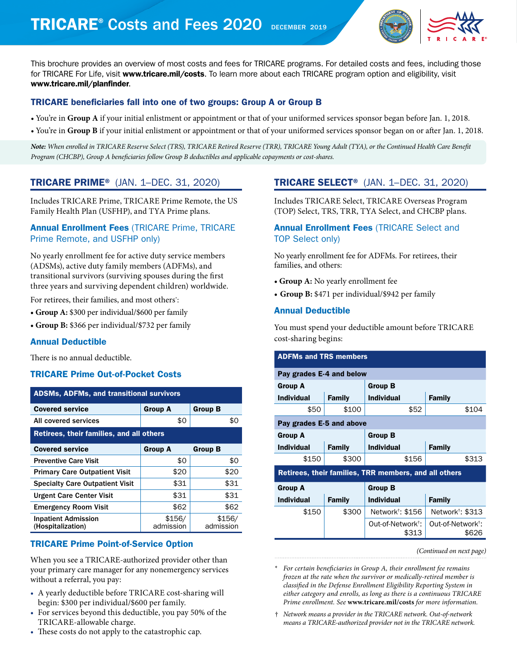# TRICARE<sup>®</sup> Costs and Fees 2020 DECEMBER 2019



This brochure provides an overview of most costs and fees for TRICARE programs. For detailed costs and fees, including those for TRICARE For Life, visit [www.tricare.mil/costs](http://www.tricare.mil/costs). To learn more about each TRICARE program option and eligibility, visit [www.tricare.mil/planfinder](http://www.tricare.mil/planfinder).

## TRICARE beneficiaries fall into one of two groups: Group A or Group B

- You're in **Group A** if your initial enlistment or appointment or that of your uniformed services sponsor began before Jan. 1, 2018.
- You're in **Group B** if your initial enlistment or appointment or that of your uniformed services sponsor began on or after Jan. 1, 2018.

*Note: When enrolled in TRICARE Reserve Select (TRS), TRICARE Retired Reserve (TRR), TRICARE Young Adult (TYA), or the Continued Health Care Benefit Program (CHCBP), Group A beneficiaries follow Group B deductibles and applicable copayments or cost-shares.* 

## TRICARE PRIME® (JAN. 1–DEC. 31, 2020)

Includes TRICARE Prime, TRICARE Prime Remote, the US Family Health Plan (USFHP), and TYA Prime plans.

## Annual Enrollment Fees (TRICARE Prime, TRICARE Prime Remote, and USFHP only)

No yearly enrollment fee for active duty service members (ADSMs), active duty family members (ADFMs), and transitional survivors (surviving spouses during the first three years and surviving dependent children) worldwide.

For retirees, their families, and most others\* :

- **• Group A:** \$300 per individual/\$600 per family
- **• Group B:** \$366 per individual/\$732 per family

## Annual Deductible

There is no annual deductible.

## TRICARE Prime Out-of-Pocket Costs

| <b>ADSMs, ADFMs, and transitional survivors</b> |                     |                     |  |
|-------------------------------------------------|---------------------|---------------------|--|
| <b>Covered service</b>                          | <b>Group A</b>      | <b>Group B</b>      |  |
| All covered services                            | \$0                 | \$0                 |  |
| Retirees, their families, and all others        |                     |                     |  |
| <b>Covered service</b>                          | <b>Group A</b>      | <b>Group B</b>      |  |
| <b>Preventive Care Visit</b>                    | \$0                 | \$0                 |  |
| <b>Primary Care Outpatient Visit</b>            | \$20                | \$20                |  |
| <b>Specialty Care Outpatient Visit</b>          | \$31                | \$31                |  |
| <b>Urgent Care Center Visit</b>                 | \$31                | \$31                |  |
| <b>Emergency Room Visit</b>                     | \$62                | \$62                |  |
| <b>Inpatient Admission</b><br>(Hospitalization) | \$156/<br>admission | \$156/<br>admission |  |

## TRICARE Prime Point-of-Service Option

When you see a TRICARE-authorized provider other than your primary care manager for any nonemergency services without a referral, you pay:

- A yearly deductible before TRICARE cost-sharing will begin: \$300 per individual/\$600 per family.
- For services beyond this deductible, you pay 50% of the TRICARE-allowable charge.
- These costs do not apply to the catastrophic cap.

## TRICARE SELECT® (JAN. 1–DEC. 31, 2020)

Includes TRICARE Select, TRICARE Overseas Program (TOP) Select, TRS, TRR, TYA Select, and CHCBP plans.

## Annual Enrollment Fees (TRICARE Select and TOP Select only)

No yearly enrollment fee for ADFMs. For retirees, their families, and others:

- **• Group A:** No yearly enrollment fee
- **• Group B:** \$471 per individual/\$942 per family

## Annual Deductible

You must spend your deductible amount before TRICARE cost-sharing begins:

| <b>ADFMs and TRS members</b>                          |                          |                                        |                                        |
|-------------------------------------------------------|--------------------------|----------------------------------------|----------------------------------------|
|                                                       | Pay grades E-4 and below |                                        |                                        |
| <b>Group A</b>                                        |                          | <b>Group B</b>                         |                                        |
| <b>Individual</b>                                     | <b>Family</b>            | <b>Individual</b>                      | <b>Family</b>                          |
| \$50                                                  | \$100                    | \$52                                   | \$104                                  |
| Pay grades E-5 and above                              |                          |                                        |                                        |
| <b>Group A</b>                                        |                          | <b>Group B</b>                         |                                        |
| <b>Individual</b>                                     | <b>Family</b>            | <b>Individual</b>                      | <b>Family</b>                          |
| \$150                                                 | \$300                    | \$156                                  | \$313                                  |
| Retirees, their families, TRR members, and all others |                          |                                        |                                        |
| <b>Group A</b>                                        |                          | <b>Group B</b>                         |                                        |
| <b>Individual</b>                                     | <b>Family</b>            | <b>Individual</b>                      | <b>Family</b>                          |
| \$150                                                 | \$300                    | Network <sup>†</sup> : \$156           | Network <sup>†</sup> : \$313           |
|                                                       |                          | Out-of-Network <sup>†</sup> :<br>\$313 | Out-of-Network <sup>†</sup> :<br>\$626 |

*(Continued on next page)*

- \* *For certain beneficiaries in Group A, their enrollment fee remains frozen at the rate when the survivor or medically-retired member is classified in the Defense Enrollment Eligibility Reporting System in either category and enrolls, as long as there is a continuous TRICARE Prime enrollment. See* **[www.tricare.mil/costs](http://www.tricare.mil/costs)** *for more information.*
- † *Network means a provider in the TRICARE network. Out-of-network means a TRICARE-authorized provider not in the TRICARE network.*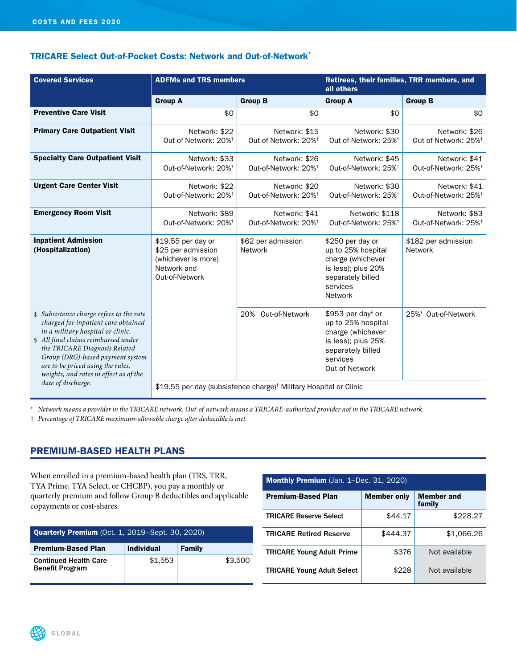## TRICARE Select Out-of-Pocket Costs: Network and Out-of-Network\*

| <b>Covered Services</b>                                                                                                                                                                                                                                                                                                              |                                                                                                  | <b>ADFMs and TRS members</b>                                                  |                                                                                                                                                   | Retirees, their families, TRR members, and<br>all others |  |
|--------------------------------------------------------------------------------------------------------------------------------------------------------------------------------------------------------------------------------------------------------------------------------------------------------------------------------------|--------------------------------------------------------------------------------------------------|-------------------------------------------------------------------------------|---------------------------------------------------------------------------------------------------------------------------------------------------|----------------------------------------------------------|--|
|                                                                                                                                                                                                                                                                                                                                      | <b>Group A</b>                                                                                   | <b>Group B</b>                                                                | <b>Group A</b>                                                                                                                                    | <b>Group B</b>                                           |  |
| <b>Preventive Care Visit</b>                                                                                                                                                                                                                                                                                                         | \$0                                                                                              | \$0                                                                           | \$0                                                                                                                                               | \$0                                                      |  |
| <b>Primary Care Outpatient Visit</b>                                                                                                                                                                                                                                                                                                 | Network: \$22<br>Out-of-Network: 20% <sup>+</sup>                                                | Network: \$15<br>Out-of-Network: 20% <sup>+</sup>                             | Network: \$30<br>Out-of-Network: 25% <sup>+</sup>                                                                                                 | Network: \$26<br>Out-of-Network: 25% <sup>+</sup>        |  |
| <b>Specialty Care Outpatient Visit</b>                                                                                                                                                                                                                                                                                               | Network: \$33<br>Out-of-Network: 20% <sup>+</sup>                                                | Network: \$26<br>Out-of-Network: 20% <sup>+</sup>                             | Network: \$45<br>Out-of-Network: 25% <sup>+</sup>                                                                                                 | Network: \$41<br>Out-of-Network: 25% <sup>+</sup>        |  |
| <b>Urgent Care Center Visit</b>                                                                                                                                                                                                                                                                                                      | Network: \$22<br>Out-of-Network: 20% <sup>+</sup>                                                | Network: \$20<br>Out-of-Network: 20% <sup>+</sup>                             | Network: \$30<br>Out-of-Network: 25% <sup>+</sup>                                                                                                 | Network: \$41<br>Out-of-Network: 25% <sup>+</sup>        |  |
| <b>Emergency Room Visit</b>                                                                                                                                                                                                                                                                                                          | Network: \$89<br>Out-of-Network: 20% <sup>+</sup>                                                | Network: \$41<br>Out-of-Network: 20% <sup>+</sup>                             | Network: \$118<br>Out-of-Network: 25% <sup>+</sup>                                                                                                | Network: \$83<br>Out-of-Network: 25% <sup>+</sup>        |  |
| <b>Inpatient Admission</b><br>(Hospitalization)                                                                                                                                                                                                                                                                                      | \$19.55 per day or<br>\$25 per admission<br>(whichever is more)<br>Network and<br>Out-of-Network | \$62 per admission<br><b>Network</b>                                          | \$250 per day or<br>up to 25% hospital<br>charge (whichever<br>is less); plus 20%<br>separately billed<br>services<br><b>Network</b>              | \$182 per admission<br>Network                           |  |
| # Subsistence charge refers to the rate<br>charged for inpatient care obtained<br>in a military hospital or clinic.<br>§ All final claims reimbursed under<br>the TRICARE Diagnosis Related<br>Group (DRG)-based payment system<br>are to be priced using the rules,<br>weights, and rates in effect as of the<br>date of discharge. |                                                                                                  | 20% <sup>†</sup> Out-of-Network                                               | \$953 per day <sup>§</sup> or<br>up to 25% hospital<br>charge (whichever<br>is less); plus 25%<br>separately billed<br>services<br>Out-of-Network | 25% <sup>+</sup> Out-of-Network                          |  |
|                                                                                                                                                                                                                                                                                                                                      |                                                                                                  | \$19.55 per day (subsistence charge) <sup>#</sup> Military Hospital or Clinic |                                                                                                                                                   |                                                          |  |

\* *Network means a provider in the TRICARE network. Out-of-network means a TRICARE-authorized provider not in the TRICARE network.*

† *Percentage of TRICARE maximum-allowable charge after deductible is met.* 

## PREMIUM-BASED HEALTH PLANS

When enrolled in a premium-based health plan (TRS, TRR, TYA Prime, TYA Select, or CHCBP), you pay a monthly or quarterly premium and follow Group B deductibles and applicable copayments or cost-shares.

| <b>Quarterly Premium</b> (Oct. 1, 2019–Sept. 30, 2020) |                   |               |
|--------------------------------------------------------|-------------------|---------------|
| <b>Premium-Based Plan</b>                              | <b>Individual</b> | <b>Family</b> |
| <b>Continued Health Care</b><br><b>Benefit Program</b> | \$1.553           | \$3,500       |

| <b>Monthly Premium</b> (Jan. 1–Dec. 31, 2020) |                    |                             |
|-----------------------------------------------|--------------------|-----------------------------|
| <b>Premium-Based Plan</b>                     | <b>Member only</b> | <b>Member and</b><br>family |
| <b>TRICARE Reserve Select</b>                 | \$44.17            | \$228.27                    |
| <b>TRICARE Retired Reserve</b>                | \$444.37           | \$1,066.26                  |
| <b>TRICARE Young Adult Prime</b>              | \$376              | Not available               |
| <b>TRICARE Young Adult Select</b>             | \$228              | Not available               |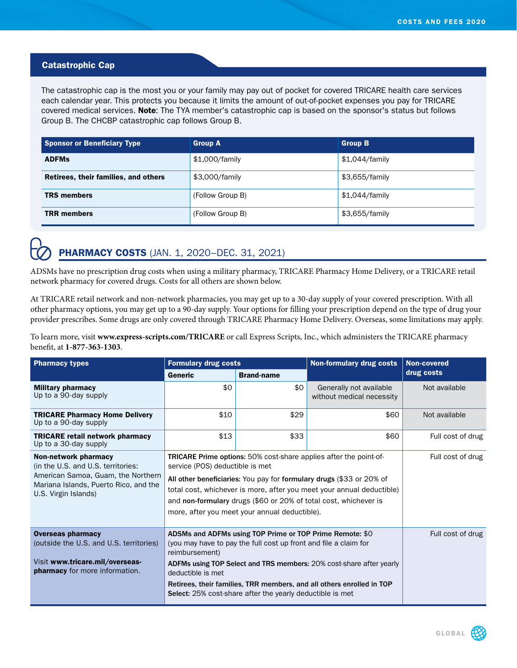## Catastrophic Cap

The catastrophic cap is the most you or your family may pay out of pocket for covered TRICARE health care services each calendar year. This protects you because it limits the amount of out-of-pocket expenses you pay for TRICARE covered medical services. Note: The TYA member's catastrophic cap is based on the sponsor's status but follows Group B. The CHCBP catastrophic cap follows Group B.

| <b>Sponsor or Beneficiary Type</b>   | <b>Group A</b>   | <b>Group B</b> |
|--------------------------------------|------------------|----------------|
| <b>ADFMs</b>                         | \$1,000/family   | \$1,044/family |
| Retirees, their families, and others | \$3,000/family   | \$3,655/family |
| <b>TRS members</b>                   | (Follow Group B) | \$1,044/family |
| <b>TRR</b> members                   | (Follow Group B) | \$3,655/family |

## **PHARMACY COSTS** (JAN. 1, 2020-DEC. 31, 2021)

ADSMs have no prescription drug costs when using a military pharmacy, TRICARE Pharmacy Home Delivery, or a TRICARE retail network pharmacy for covered drugs. Costs for all others are shown below.

At TRICARE retail network and non-network pharmacies, you may get up to a 30-day supply of your covered prescription. With all other pharmacy options, you may get up to a 90-day supply. Your options for filling your prescription depend on the type of drug your provider prescribes. Some drugs are only covered through TRICARE Pharmacy Home Delivery. Overseas, some limitations may apply.

To learn more, visit **www.express-scripts.com/TRICARE** or call Express Scripts, Inc., which administers the TRICARE pharmacy benefit, at **1-877-363-1303**.

| <b>Pharmacy types</b>                                                                                                                                             | <b>Formulary drug costs</b>                                                                                                                                                                                                                                                                                                                                                             |                   | <b>Non-formulary drug costs</b>                      | <b>Non-covered</b> |
|-------------------------------------------------------------------------------------------------------------------------------------------------------------------|-----------------------------------------------------------------------------------------------------------------------------------------------------------------------------------------------------------------------------------------------------------------------------------------------------------------------------------------------------------------------------------------|-------------------|------------------------------------------------------|--------------------|
|                                                                                                                                                                   | Generic                                                                                                                                                                                                                                                                                                                                                                                 | <b>Brand-name</b> |                                                      | drug costs         |
| <b>Military pharmacy</b><br>Up to a 90-day supply                                                                                                                 | \$0                                                                                                                                                                                                                                                                                                                                                                                     | \$0               | Generally not available<br>without medical necessity | Not available      |
| <b>TRICARE Pharmacy Home Delivery</b><br>Up to a 90-day supply                                                                                                    | \$10                                                                                                                                                                                                                                                                                                                                                                                    | \$29              | \$60                                                 | Not available      |
| <b>TRICARE retail network pharmacy</b><br>Up to a 30-day supply                                                                                                   | \$13                                                                                                                                                                                                                                                                                                                                                                                    | \$33              | \$60                                                 | Full cost of drug  |
| Non-network pharmacy<br>(in the U.S. and U.S. territories:<br>American Samoa, Guam, the Northern<br>Mariana Islands, Puerto Rico, and the<br>U.S. Virgin Islands) | <b>TRICARE Prime options:</b> 50% cost-share applies after the point-of-<br>service (POS) deductible is met<br>All other beneficiaries: You pay for formulary drugs (\$33 or 20% of<br>total cost, whichever is more, after you meet your annual deductible)<br>and non-formulary drugs (\$60 or 20% of total cost, whichever is<br>more, after you meet your annual deductible).       |                   |                                                      | Full cost of drug  |
| <b>Overseas pharmacy</b><br>(outside the U.S. and U.S. territories)<br>Visit www.tricare.mil/overseas-<br><b>pharmacy</b> for more information.                   | ADSMs and ADFMs using TOP Prime or TOP Prime Remote: \$0<br>(you may have to pay the full cost up front and file a claim for<br>reimbursement)<br>ADFMs using TOP Select and TRS members: 20% cost-share after yearly<br>deductible is met<br>Retirees, their families, TRR members, and all others enrolled in TOP<br><b>Select:</b> 25% cost-share after the yearly deductible is met |                   | Full cost of drug                                    |                    |